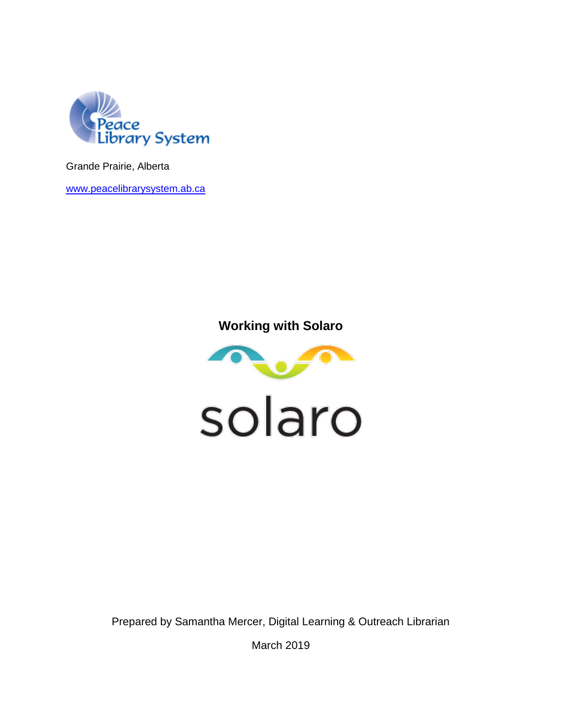

Grande Prairie, Alberta

[www.peacelibrarysystem.ab.ca](http://www.peacelibrarysystem.ab.ca/)

# **Working with Solaro**



Prepared by Samantha Mercer, Digital Learning & Outreach Librarian

March 2019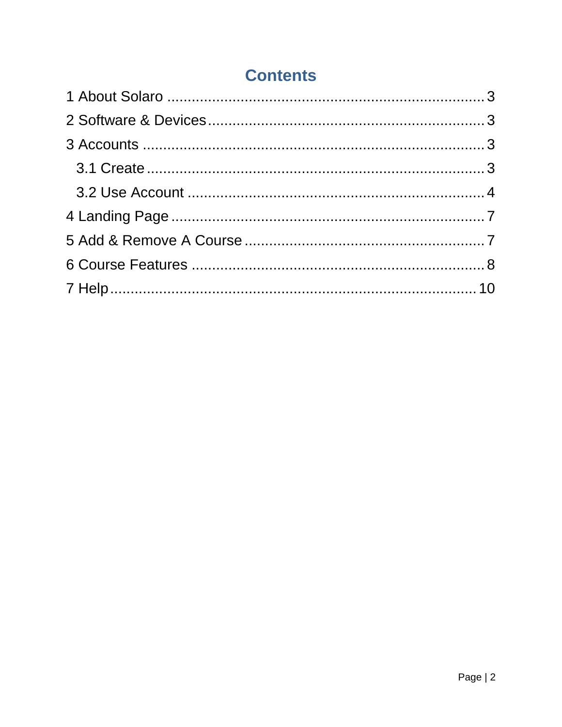# **Contents**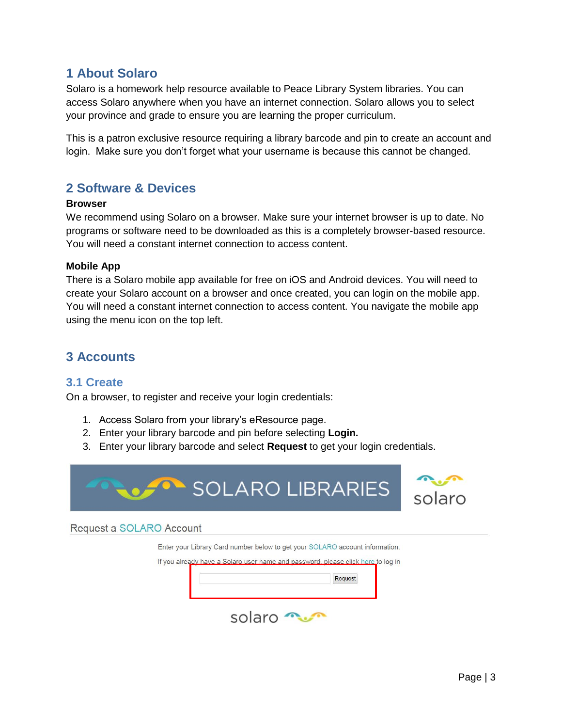## <span id="page-2-0"></span>**1 About Solaro**

Solaro is a homework help resource available to Peace Library System libraries. You can access Solaro anywhere when you have an internet connection. Solaro allows you to select your province and grade to ensure you are learning the proper curriculum.

This is a patron exclusive resource requiring a library barcode and pin to create an account and login. Make sure you don't forget what your username is because this cannot be changed.

## <span id="page-2-1"></span>**2 Software & Devices**

#### **Browser**

We recommend using Solaro on a browser. Make sure your internet browser is up to date. No programs or software need to be downloaded as this is a completely browser-based resource. You will need a constant internet connection to access content.

### **Mobile App**

There is a Solaro mobile app available for free on iOS and Android devices. You will need to create your Solaro account on a browser and once created, you can login on the mobile app. You will need a constant internet connection to access content. You navigate the mobile app using the menu icon on the top left.

# <span id="page-2-2"></span>**3 Accounts**

### <span id="page-2-3"></span>**3.1 Create**

On a browser, to register and receive your login credentials:

- 1. Access Solaro from your library's eResource page.
- 2. Enter your library barcode and pin before selecting **Login.**
- 3. Enter your library barcode and select **Request** to get your login credentials.



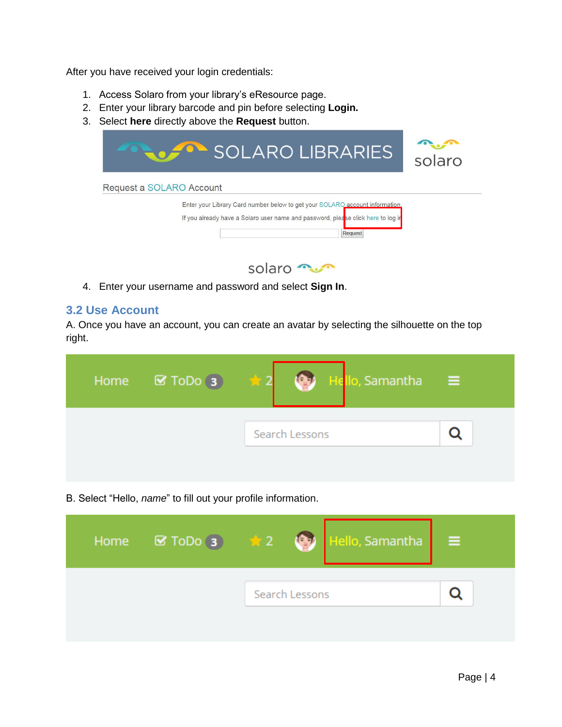After you have received your login credentials:

- 1. Access Solaro from your library's eResource page.
- 2. Enter your library barcode and pin before selecting **Login.**
- 3. Select **here** directly above the **Request** button.





4. Enter your username and password and select **Sign In**.

### <span id="page-3-0"></span>**3.2 Use Account**

A. Once you have an account, you can create an avatar by selecting the silhouette on the top right.

| Home $\boxtimes$ ToDo 3 | Hello, Samantha<br>GЪ. |  |
|-------------------------|------------------------|--|
|                         | Search Lessons         |  |
|                         |                        |  |

B. Select "Hello, *name*" to fill out your profile information.

| Home $\boxed{\blacksquare}$ ToDo 3 $\frac{1}{\blacksquare}$ 2 $\boxed{\clubsuit}$ |                | Hello, Samantha <mark>I</mark> | Ξ |  |
|-----------------------------------------------------------------------------------|----------------|--------------------------------|---|--|
|                                                                                   | Search Lessons |                                |   |  |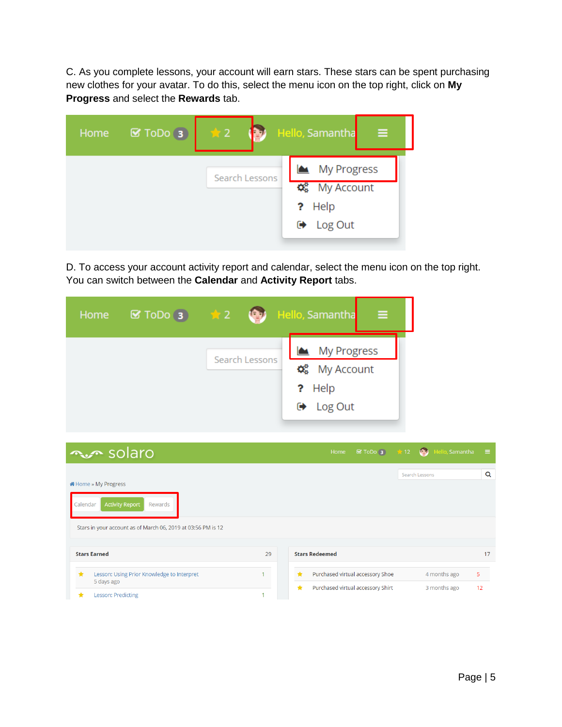C. As you complete lessons, your account will earn stars. These stars can be spent purchasing new clothes for your avatar. To do this, select the menu icon on the top right, click on **My Progress** and select the **Rewards** tab.

| Home | $\mathbf G$ ToDo $\mathbf G$ | $\bigstar$ 2   | Hello, Samantha<br>Ξ                                                        |
|------|------------------------------|----------------|-----------------------------------------------------------------------------|
|      |                              | Search Lessons | My Progress<br>$\phi_{8}^{a}$ My Account<br>? Help<br>$\rightarrow$ Log Out |

D. To access your account activity report and calendar, select the menu icon on the top right. You can switch between the **Calendar** and **Activity Report** tabs.

| Home | $\blacksquare$ ToDo 3 $\qquad \qquad \blacktriangle$ 2 | <b>Legal</b>   | Hello, Samantha<br>Ξ                                                                     |
|------|--------------------------------------------------------|----------------|------------------------------------------------------------------------------------------|
|      |                                                        | Search Lessons | My Progress<br>$\Phi_{\mathbf{8}}^{\mathbf{8}}$ My Account<br>? Help<br>$\Theta$ Log Out |

| <b>∿</b> ∞ solaro                                                                                                                     |    | ■ ToDo 3 ★ 12 ● Hello, Samantha<br>Home                                                 | - 21    |
|---------------------------------------------------------------------------------------------------------------------------------------|----|-----------------------------------------------------------------------------------------|---------|
| i Home » My Progress<br><b>Activity Report</b><br>Calendar<br>Rewards<br>Stars in your account as of March 06, 2019 at 03:56 PM is 12 |    | Search Lessons                                                                          | Q       |
| <b>Stars Earned</b><br>$\star$<br>Lesson: Using Prior Knowledge to Interpret                                                          | 29 | <b>Stars Redeemed</b><br>Purchased virtual accessory Shoe<br>$\bigstar$<br>4 months ago | 17<br>5 |
| 5 days ago<br>Lesson: Predicting<br>★                                                                                                 |    | Purchased virtual accessory Shirt<br>$\star$<br>3 months ago                            | 12      |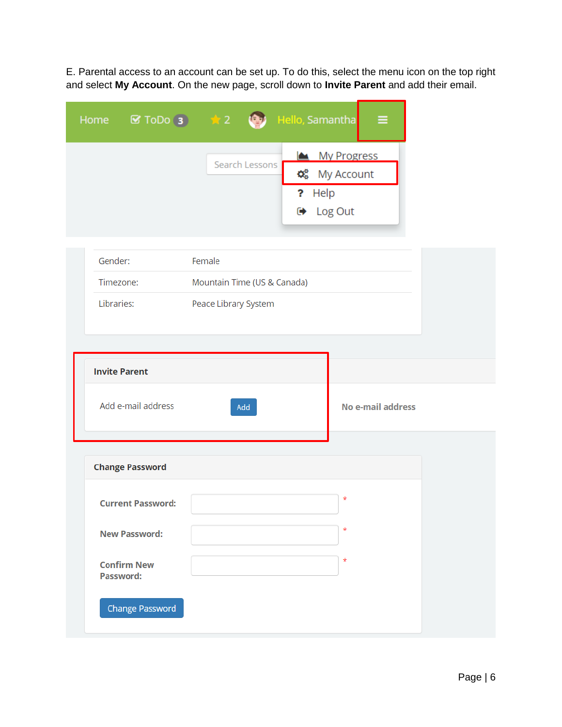E. Parental access to an account can be set up. To do this, select the menu icon on the top right and select **My Account**. On the new page, scroll down to **Invite Parent** and add their email.

÷

|                                        | Home <b>&amp; ToDo</b> 3 <b>x</b> 2 <b>(3)</b> Hello, Samantha | ≡                                                            |
|----------------------------------------|----------------------------------------------------------------|--------------------------------------------------------------|
|                                        | Search Lessons<br>? Help                                       | My Progress<br>$\phi_{8}^{8}$ My Account<br><b>■</b> Log Out |
| Gender:                                | Female                                                         |                                                              |
| Timezone:                              | Mountain Time (US & Canada)                                    |                                                              |
| Libraries:                             | Peace Library System                                           |                                                              |
|                                        |                                                                |                                                              |
| <b>Invite Parent</b>                   |                                                                |                                                              |
| Add e-mail address                     | Add                                                            | <b>No e-mail address</b>                                     |
|                                        |                                                                |                                                              |
| <b>Change Password</b>                 |                                                                |                                                              |
| <b>Current Password:</b>               |                                                                | $\star$                                                      |
| <b>New Password:</b>                   |                                                                | $\star$                                                      |
| <b>Confirm New</b><br><b>Password:</b> |                                                                | $^\star$                                                     |
| <b>Change Password</b>                 |                                                                |                                                              |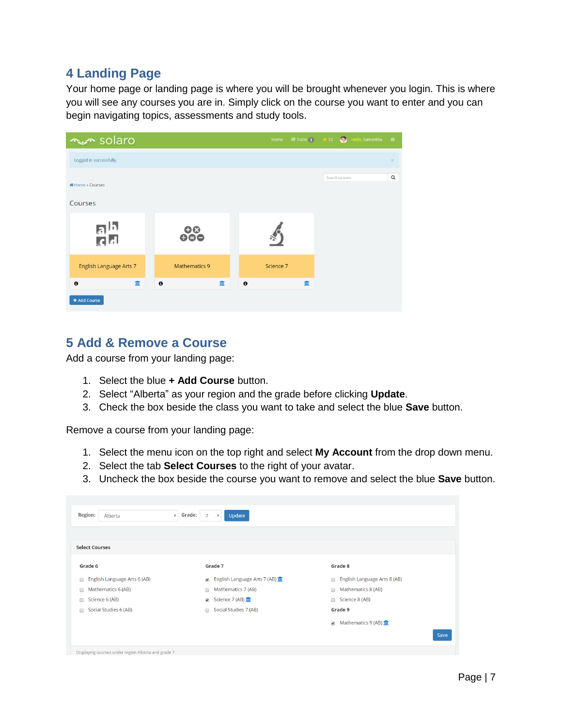# <span id="page-6-0"></span>**4 Landing Page**

Your home page or landing page is where you will be brought whenever you login. This is where you will see any courses you are in. Simply click on the course you want to enter and you can begin navigating topics, assessments and study tools.

| num solaro              |                      | Home           | ■ ToDo 3 ★ 12 ● Hello, Samantha<br>$\equiv$ |
|-------------------------|----------------------|----------------|---------------------------------------------|
| Logged in successfully. |                      |                | $\times$                                    |
| « Home » Courses        |                      |                | Q<br>Search Lessons                         |
| Courses                 |                      |                |                                             |
| <u>ah</u>               | $\frac{8}{900}$      |                |                                             |
| English Language Arts 7 | <b>Mathematics 9</b> | Science 7      |                                             |
| $\bullet$<br>血          | 皿<br>$\mathbf 0$     | $\bullet$<br>而 |                                             |
| + Add Course            |                      |                |                                             |

# <span id="page-6-1"></span>**5 Add & Remove a Course**

Add a course from your landing page:

- 1. Select the blue **+ Add Course** button.
- 2. Select "Alberta" as your region and the grade before clicking **Update**.
- 3. Check the box beside the class you want to take and select the blue **Save** button.

Remove a course from your landing page:

- 1. Select the menu icon on the top right and select **My Account** from the drop down menu.
- 2. Select the tab **Select Courses** to the right of your avatar.
- 3. Uncheck the box beside the course you want to remove and select the blue **Save** button.

| <b>Region:</b><br>Alberta<br>$\boldsymbol{\mathrm{v}}$ | Grade:<br>Update<br>$\overline{7}$<br>$\boldsymbol{\mathrm{v}}$ |                                                                  |
|--------------------------------------------------------|-----------------------------------------------------------------|------------------------------------------------------------------|
| <b>Select Courses</b>                                  |                                                                 |                                                                  |
| Grade 6                                                | Grade 7                                                         | Grade 8                                                          |
| English Language Arts 6 (AB)<br>□                      | English Language Arts 7 (AB) m<br>$\overline{\mathcal{L}}$      | English Language Arts 8 (AB)<br>$\Box$                           |
| Mathematics 6 (AB)<br>$\Box$                           | Mathematics 7 (AB)<br>$\Box$                                    | Mathematics 8 (AB)<br>$\Box$                                     |
| Science 6 (AB)<br>□                                    | Science 7 (AB) III<br>$\overline{\mathcal{L}}$                  | Science 8 (AB)<br>$\Box$                                         |
| Social Studies 6 (AB)<br>□                             | Social Studies 7 (AB)<br>$\Box$                                 | Grade 9                                                          |
|                                                        |                                                                 | Mathematics $9(AB)$ $\overline{III}$<br>$\overline{\mathcal{L}}$ |
|                                                        |                                                                 | Save                                                             |
| Displaying courses under region Alberta and grade 7    |                                                                 |                                                                  |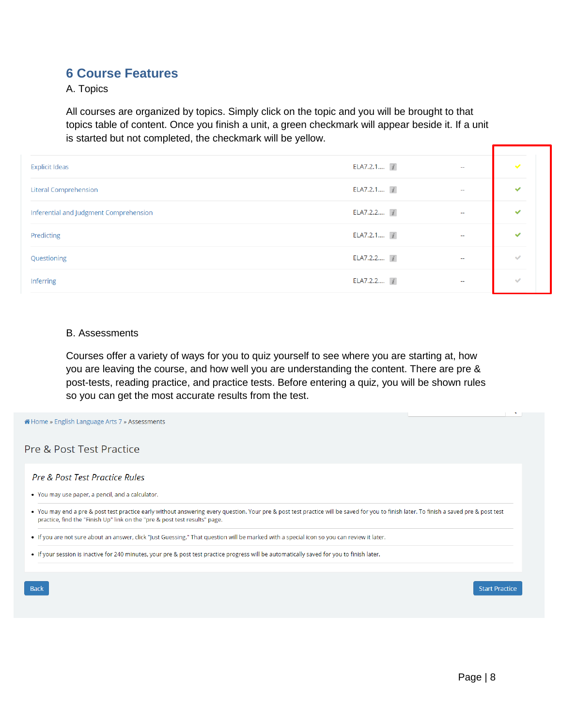## <span id="page-7-0"></span>**6 Course Features**

A. Topics

All courses are organized by topics. Simply click on the topic and you will be brought to that topics table of content. Once you finish a unit, a green checkmark will appear beside it. If a unit is started but not completed, the checkmark will be yellow.

| <b>Explicit Ideas</b>                  | ELA7.2.1 i         | $\overline{\phantom{a}}$ | $\checkmark$ |
|----------------------------------------|--------------------|--------------------------|--------------|
| <b>Literal Comprehension</b>           | ELA7.2.1 $\vec{i}$ | $\sim$                   | $\checkmark$ |
| Inferential and Judgment Comprehension | ELA7.2.2 7         | $\sim$                   | ✓            |
| Predicting                             | ELA7.2.1 i         | $\sim$ $-$               | ✓            |
| Questioning                            | ELA7.2.2 i         | $\sim$                   | $\checkmark$ |
| <b>Inferring</b>                       | ELA7.2.2 $\vec{i}$ | $\sim$                   | $\checkmark$ |

#### B. Assessments

Courses offer a variety of ways for you to quiz yourself to see where you are starting at, how you are leaving the course, and how well you are understanding the content. There are pre & post-tests, reading practice, and practice tests. Before entering a quiz, you will be shown rules so you can get the most accurate results from the test.

**A** Home » English Language Arts 7 » Assessments

Pre & Post Test Practice

#### Pre & Post Test Practice Rules

• You may use paper, a pencil, and a calculator.

. You may end a pre & post test practice early without answering every question. Your pre & post test practice will be saved for you to finish later. To finish a saved pre & post test practice, find the "Finish Up" link on the "pre & post test results" page.

. If you are not sure about an answer, click "Just Guessing." That question will be marked with a special icon so you can review it later.

. If your session is inactive for 240 minutes, your pre & post test practice progress will be automatically saved for you to finish later.

Back

**Start Practice**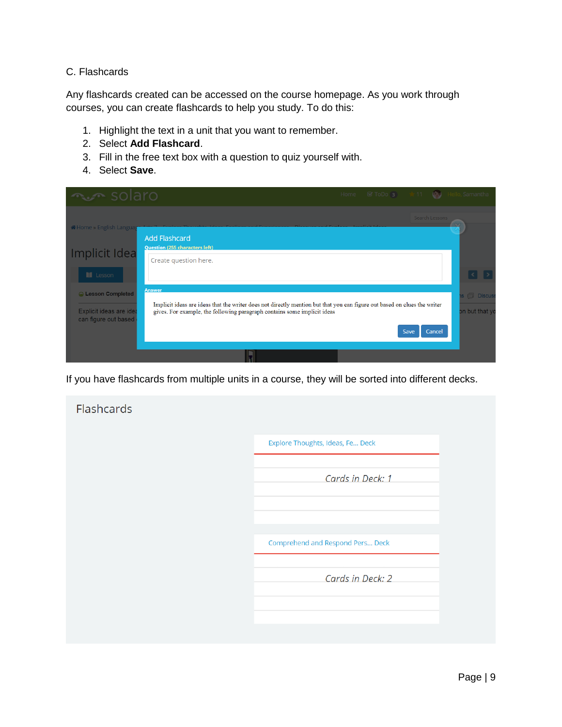### C. Flashcards

Any flashcards created can be accessed on the course homepage. As you work through courses, you can create flashcards to help you study. To do this:

- 1. Highlight the text in a unit that you want to remember.
- 2. Select **Add Flashcard**.
- 3. Fill in the free text box with a question to quiz yourself with.
- 4. Select **Save**.

| <b>Avec</b> solaro                                                |                                                                                                                                                                                                                       | Home SToDo 3 11 (3) Hello, Samantha |      |                |                                         |  |
|-------------------------------------------------------------------|-----------------------------------------------------------------------------------------------------------------------------------------------------------------------------------------------------------------------|-------------------------------------|------|----------------|-----------------------------------------|--|
|                                                                   |                                                                                                                                                                                                                       |                                     |      | Search Lessons |                                         |  |
| <b>A</b> Home » English Langua<br>Implicit Idea                   | <b>Add Flashcard</b><br><b>Question (255 characters left)</b><br>Create question here.                                                                                                                                |                                     |      |                |                                         |  |
| <b>II</b> Lesson<br>C Lesson Completed<br>Explicit ideas are idea | <b>Answer</b><br>Implicit ideas are ideas that the writer does not directly mention but that you can figure out based on clues the writer<br>gives. For example, the following paragraph contains some implicit ideas |                                     |      |                | s <sup>n</sup> Discus<br>on but that yo |  |
| can figure out based                                              |                                                                                                                                                                                                                       |                                     | Save | Cancel         |                                         |  |

If you have flashcards from multiple units in a course, they will be sorted into different decks.

| Flashcards |                                  |
|------------|----------------------------------|
|            | Explore Thoughts, Ideas, Fe Deck |
|            | Cards in Deck: 1                 |
|            |                                  |
|            | Comprehend and Respond Pers Deck |
|            | Cards in Deck: 2                 |
|            |                                  |